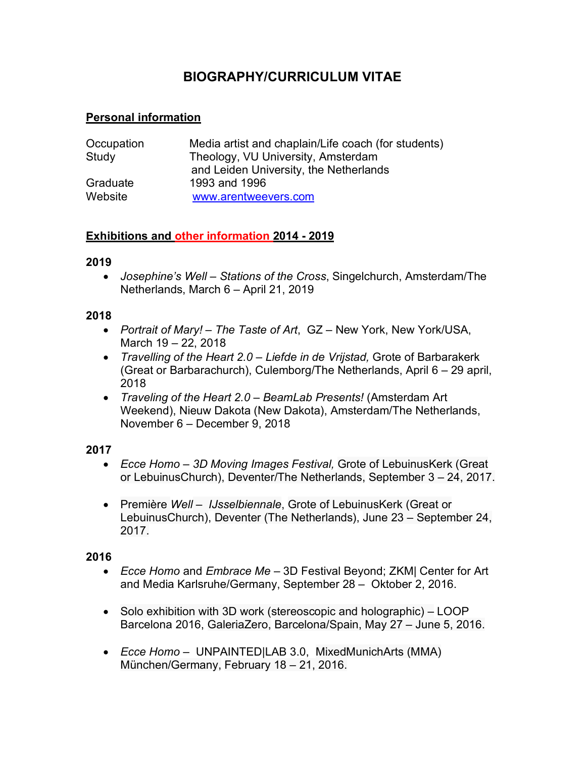# **BIOGRAPHY/CURRICULUM VITAE**

# **Personal information**

| Occupation | Media artist and chaplain/Life coach (for students) |
|------------|-----------------------------------------------------|
| Study      | Theology, VU University, Amsterdam                  |
|            | and Leiden University, the Netherlands              |
| Graduate   | 1993 and 1996                                       |
| Website    | www.arentweevers.com                                |

# **Exhibitions and other information 2014 - 2019**

### **2019**

• *Josephine's Well – Stations of the Cross*, Singelchurch, Amsterdam/The Netherlands, March 6 – April 21, 2019

#### **2018**

- *Portrait of Mary! The Taste of Art*, GZ New York, New York/USA, March 19 – 22, 2018
- *Travelling of the Heart 2.0 Liefde in de Vrijstad,* Grote of Barbarakerk (Great or Barbarachurch), Culemborg/The Netherlands, April 6 – 29 april, 2018
- *Traveling of the Heart 2.0 BeamLab Presents!* (Amsterdam Art Weekend), Nieuw Dakota (New Dakota), Amsterdam/The Netherlands, November 6 – December 9, 2018

### **2017**

- *Ecce Homo 3D Moving Images Festival,* Grote of LebuinusKerk (Great or LebuinusChurch), Deventer/The Netherlands, September 3 – 24, 2017.
- Première *Well IJsselbiennale*, Grote of LebuinusKerk (Great or LebuinusChurch), Deventer (The Netherlands), June 23 – September 24, 2017.

### **2016**

- *Ecce Homo* and *Embrace Me* 3D Festival Beyond; ZKM| Center for Art and Media Karlsruhe/Germany, September 28 – Oktober 2, 2016.
- Solo exhibition with 3D work (stereoscopic and holographic) LOOP Barcelona 2016, GaleriaZero, Barcelona/Spain, May 27 – June 5, 2016.
- *Ecce Homo* UNPAINTED|LAB 3.0, MixedMunichArts (MMA) München/Germany, February 18 – 21, 2016.